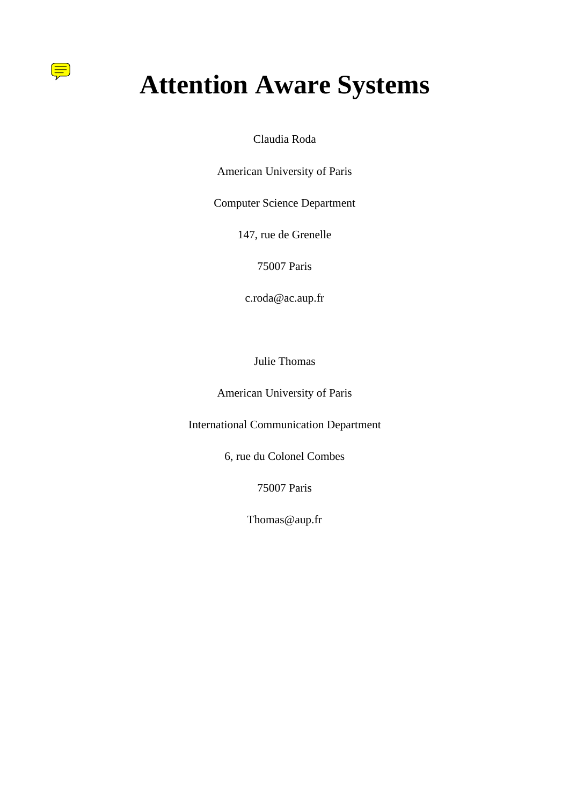# **Attention Aware Systems**

<u> (三</u>

Claudia Roda

American University of Paris

Computer Science Department

147, rue de Grenelle

75007 Paris

c.roda@ac.aup.fr

Julie Thomas

American University of Paris

International Communication Department

6, rue du Colonel Combes

75007 Paris

Thomas@aup.fr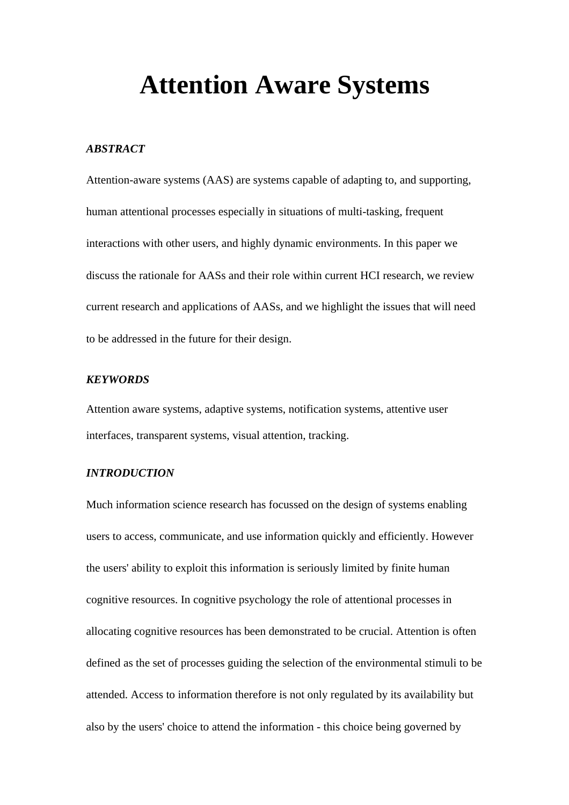## **Attention Aware Systems**

#### *ABSTRACT*

Attention-aware systems (AAS) are systems capable of adapting to, and supporting, human attentional processes especially in situations of multi-tasking, frequent interactions with other users, and highly dynamic environments. In this paper we discuss the rationale for AASs and their role within current HCI research, we review current research and applications of AASs, and we highlight the issues that will need to be addressed in the future for their design.

#### *KEYWORDS*

Attention aware systems, adaptive systems, notification systems, attentive user interfaces, transparent systems, visual attention, tracking.

#### *INTRODUCTION*

Much information science research has focussed on the design of systems enabling users to access, communicate, and use information quickly and efficiently. However the users' ability to exploit this information is seriously limited by finite human cognitive resources. In cognitive psychology the role of attentional processes in allocating cognitive resources has been demonstrated to be crucial. Attention is often defined as the set of processes guiding the selection of the environmental stimuli to be attended. Access to information therefore is not only regulated by its availability but also by the users' choice to attend the information - this choice being governed by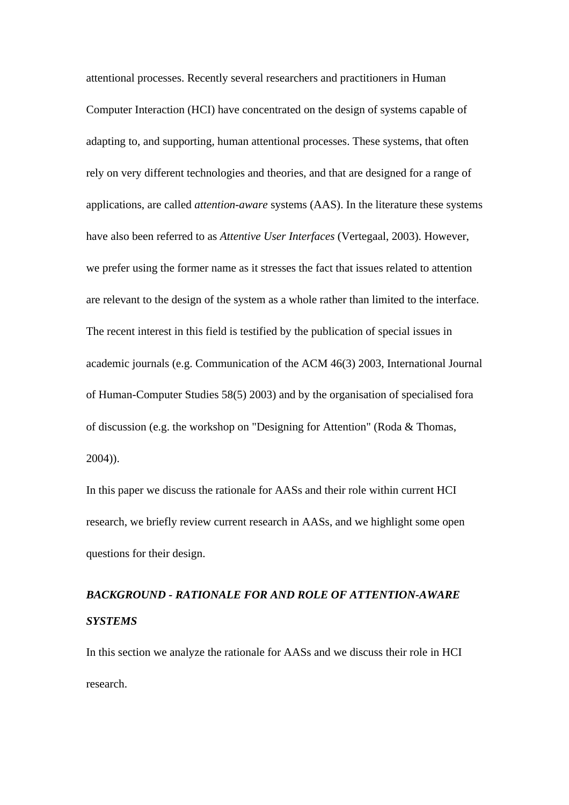attentional processes. Recently several researchers and practitioners in Human Computer Interaction (HCI) have concentrated on the design of systems capable of adapting to, and supporting, human attentional processes. These systems, that often rely on very different technologies and theories, and that are designed for a range of applications, are called *attention-aware* systems (AAS). In the literature these systems have also been referred to as *Attentive User Interfaces* (Vertegaal, 2003). However, we prefer using the former name as it stresses the fact that issues related to attention are relevant to the design of the system as a whole rather than limited to the interface. The recent interest in this field is testified by the publication of special issues in academic journals (e.g. Communication of the ACM 46(3) 2003, International Journal of Human-Computer Studies 58(5) 2003) and by the organisation of specialised fora of discussion (e.g. the workshop on "Designing for Attention" (Roda & Thomas, 2004)).

In this paper we discuss the rationale for AASs and their role within current HCI research, we briefly review current research in AASs, and we highlight some open questions for their design.

### *BACKGROUND - RATIONALE FOR AND ROLE OF ATTENTION-AWARE SYSTEMS*

In this section we analyze the rationale for AASs and we discuss their role in HCI research.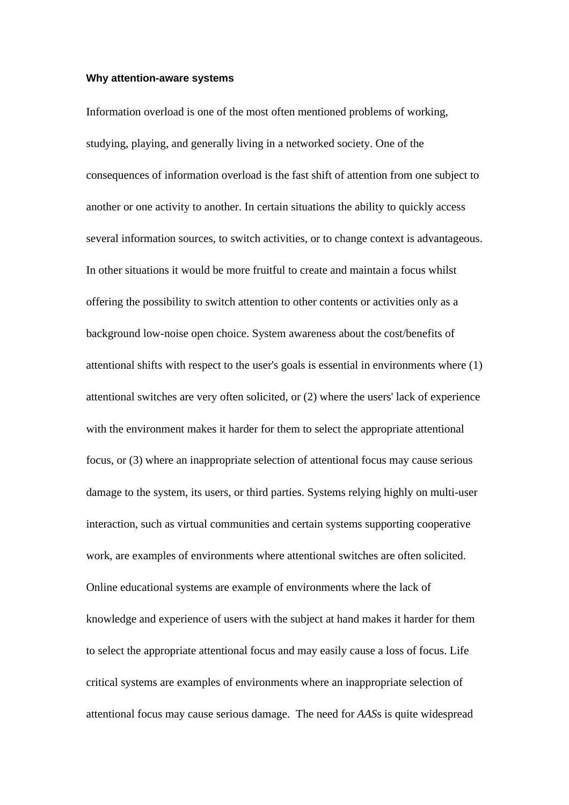#### **Why attention-aware systems**

Information overload is one of the most often mentioned problems of working, studying, playing, and generally living in a networked society. One of the consequences of information overload is the fast shift of attention from one subject to another or one activity to another. In certain situations the ability to quickly access several information sources, to switch activities, or to change context is advantageous. In other situations it would be more fruitful to create and maintain a focus whilst offering the possibility to switch attention to other contents or activities only as a background low-noise open choice. System awareness about the cost/benefits of attentional shifts with respect to the user's goals is essential in environments where (1) attentional switches are very often solicited, or (2) where the users' lack of experience with the environment makes it harder for them to select the appropriate attentional focus, or (3) where an inappropriate selection of attentional focus may cause serious damage to the system, its users, or third parties. Systems relying highly on multi-user interaction, such as virtual communities and certain systems supporting cooperative work, are examples of environments where attentional switches are often solicited. Online educational systems are example of environments where the lack of knowledge and experience of users with the subject at hand makes it harder for them to select the appropriate attentional focus and may easily cause a loss of focus. Life critical systems are examples of environments where an inappropriate selection of attentional focus may cause serious damage. The need for *AAS*s is quite widespread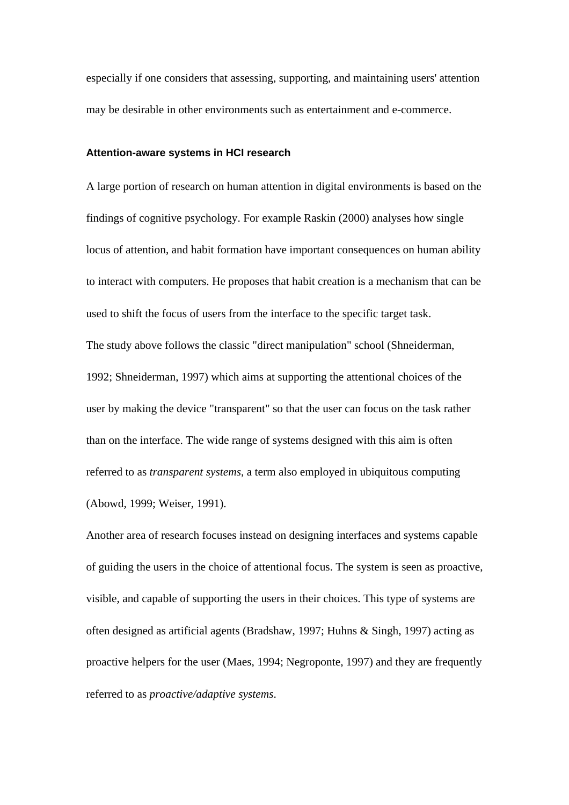especially if one considers that assessing, supporting, and maintaining users' attention may be desirable in other environments such as entertainment and e-commerce.

#### **Attention-aware systems in HCI research**

A large portion of research on human attention in digital environments is based on the findings of cognitive psychology. For example Raskin (2000) analyses how single locus of attention, and habit formation have important consequences on human ability to interact with computers. He proposes that habit creation is a mechanism that can be used to shift the focus of users from the interface to the specific target task. The study above follows the classic "direct manipulation" school (Shneiderman, 1992; Shneiderman, 1997) which aims at supporting the attentional choices of the user by making the device "transparent" so that the user can focus on the task rather than on the interface. The wide range of systems designed with this aim is often referred to as *transparent systems*, a term also employed in ubiquitous computing (Abowd, 1999; Weiser, 1991).

Another area of research focuses instead on designing interfaces and systems capable of guiding the users in the choice of attentional focus. The system is seen as proactive, visible, and capable of supporting the users in their choices. This type of systems are often designed as artificial agents (Bradshaw, 1997; Huhns & Singh, 1997) acting as proactive helpers for the user (Maes, 1994; Negroponte, 1997) and they are frequently referred to as *proactive/adaptive systems*.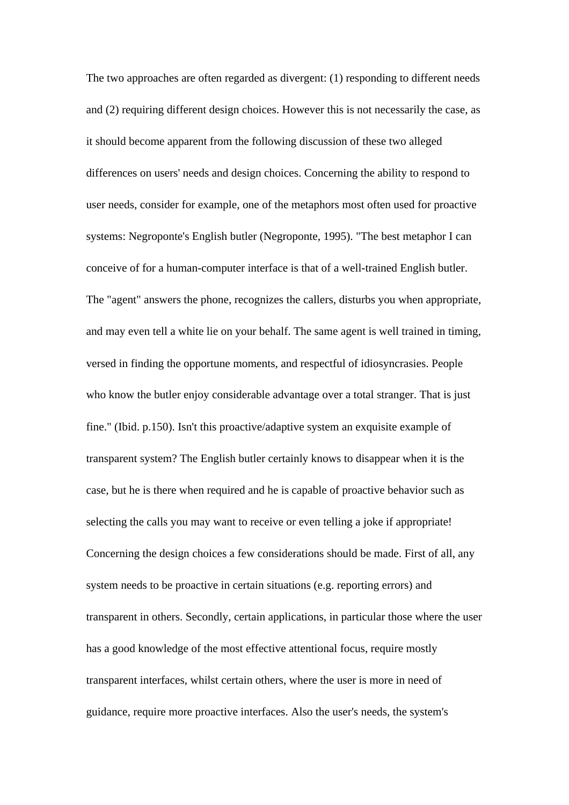The two approaches are often regarded as divergent: (1) responding to different needs and (2) requiring different design choices. However this is not necessarily the case, as it should become apparent from the following discussion of these two alleged differences on users' needs and design choices. Concerning the ability to respond to user needs, consider for example, one of the metaphors most often used for proactive systems: Negroponte's English butler (Negroponte, 1995). "The best metaphor I can conceive of for a human-computer interface is that of a well-trained English butler. The "agent" answers the phone, recognizes the callers, disturbs you when appropriate, and may even tell a white lie on your behalf. The same agent is well trained in timing, versed in finding the opportune moments, and respectful of idiosyncrasies. People who know the butler enjoy considerable advantage over a total stranger. That is just fine." (Ibid. p.150). Isn't this proactive/adaptive system an exquisite example of transparent system? The English butler certainly knows to disappear when it is the case, but he is there when required and he is capable of proactive behavior such as selecting the calls you may want to receive or even telling a joke if appropriate! Concerning the design choices a few considerations should be made. First of all, any system needs to be proactive in certain situations (e.g. reporting errors) and transparent in others. Secondly, certain applications, in particular those where the user has a good knowledge of the most effective attentional focus, require mostly transparent interfaces, whilst certain others, where the user is more in need of guidance, require more proactive interfaces. Also the user's needs, the system's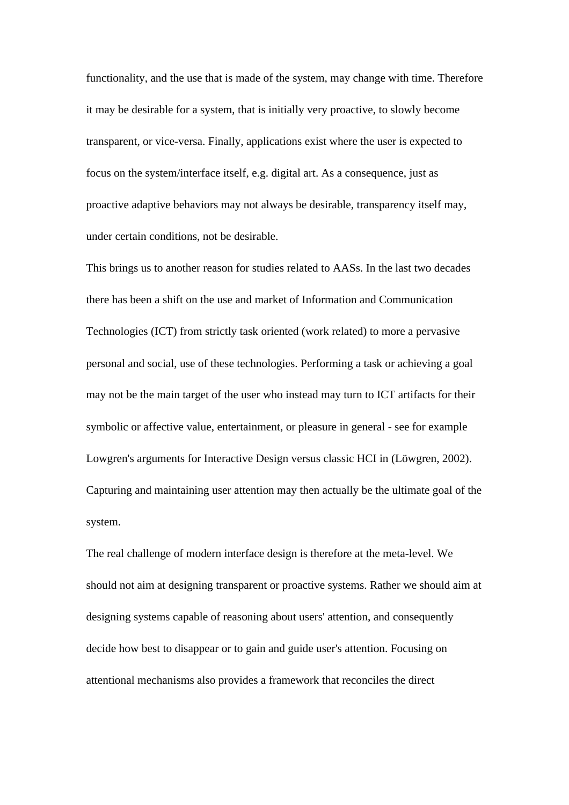functionality, and the use that is made of the system, may change with time. Therefore it may be desirable for a system, that is initially very proactive, to slowly become transparent, or vice-versa. Finally, applications exist where the user is expected to focus on the system/interface itself, e.g. digital art. As a consequence, just as proactive adaptive behaviors may not always be desirable, transparency itself may, under certain conditions, not be desirable.

This brings us to another reason for studies related to AASs. In the last two decades there has been a shift on the use and market of Information and Communication Technologies (ICT) from strictly task oriented (work related) to more a pervasive personal and social, use of these technologies. Performing a task or achieving a goal may not be the main target of the user who instead may turn to ICT artifacts for their symbolic or affective value, entertainment, or pleasure in general - see for example Lowgren's arguments for Interactive Design versus classic HCI in (Löwgren, 2002). Capturing and maintaining user attention may then actually be the ultimate goal of the system.

The real challenge of modern interface design is therefore at the meta-level. We should not aim at designing transparent or proactive systems. Rather we should aim at designing systems capable of reasoning about users' attention, and consequently decide how best to disappear or to gain and guide user's attention. Focusing on attentional mechanisms also provides a framework that reconciles the direct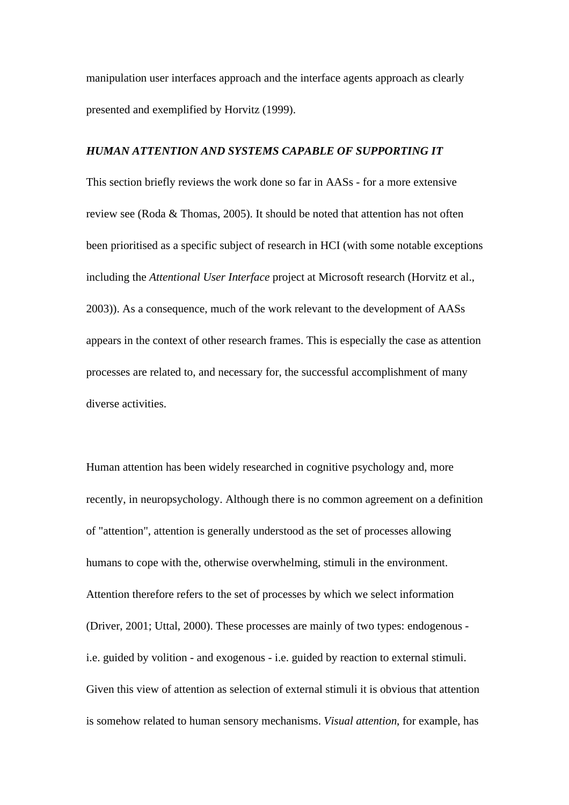manipulation user interfaces approach and the interface agents approach as clearly presented and exemplified by Horvitz (1999).

#### *HUMAN ATTENTION AND SYSTEMS CAPABLE OF SUPPORTING IT*

This section briefly reviews the work done so far in AASs - for a more extensive review see (Roda & Thomas, 2005). It should be noted that attention has not often been prioritised as a specific subject of research in HCI (with some notable exceptions including the *Attentional User Interface* project at Microsoft research (Horvitz et al., 2003)). As a consequence, much of the work relevant to the development of AASs appears in the context of other research frames. This is especially the case as attention processes are related to, and necessary for, the successful accomplishment of many diverse activities.

Human attention has been widely researched in cognitive psychology and, more recently, in neuropsychology. Although there is no common agreement on a definition of "attention", attention is generally understood as the set of processes allowing humans to cope with the, otherwise overwhelming, stimuli in the environment. Attention therefore refers to the set of processes by which we select information (Driver, 2001; Uttal, 2000). These processes are mainly of two types: endogenous i.e. guided by volition - and exogenous - i.e. guided by reaction to external stimuli. Given this view of attention as selection of external stimuli it is obvious that attention is somehow related to human sensory mechanisms. *Visual attention*, for example, has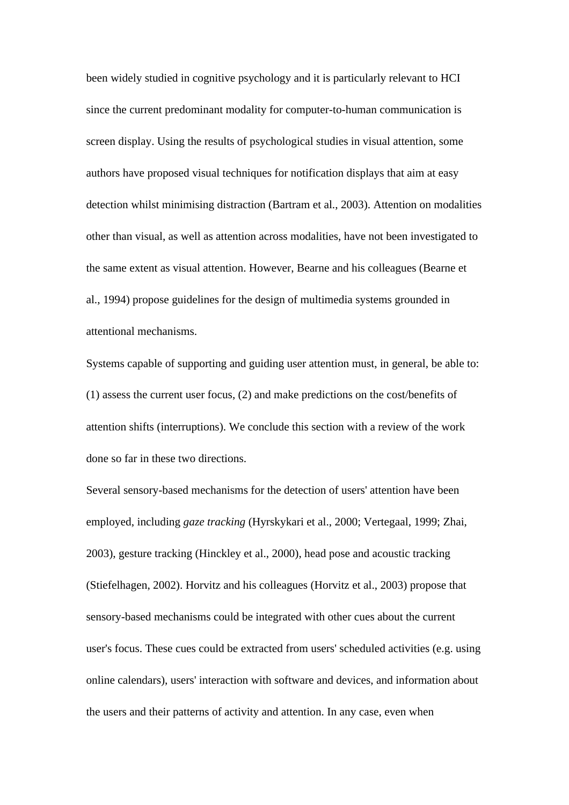been widely studied in cognitive psychology and it is particularly relevant to HCI since the current predominant modality for computer-to-human communication is screen display. Using the results of psychological studies in visual attention, some authors have proposed visual techniques for notification displays that aim at easy detection whilst minimising distraction (Bartram et al., 2003). Attention on modalities other than visual, as well as attention across modalities, have not been investigated to the same extent as visual attention. However, Bearne and his colleagues (Bearne et al., 1994) propose guidelines for the design of multimedia systems grounded in attentional mechanisms.

Systems capable of supporting and guiding user attention must, in general, be able to: (1) assess the current user focus, (2) and make predictions on the cost/benefits of attention shifts (interruptions). We conclude this section with a review of the work done so far in these two directions.

Several sensory-based mechanisms for the detection of users' attention have been employed, including *gaze tracking* (Hyrskykari et al., 2000; Vertegaal, 1999; Zhai, 2003), gesture tracking (Hinckley et al., 2000), head pose and acoustic tracking (Stiefelhagen, 2002). Horvitz and his colleagues (Horvitz et al., 2003) propose that sensory-based mechanisms could be integrated with other cues about the current user's focus. These cues could be extracted from users' scheduled activities (e.g. using online calendars), users' interaction with software and devices, and information about the users and their patterns of activity and attention. In any case, even when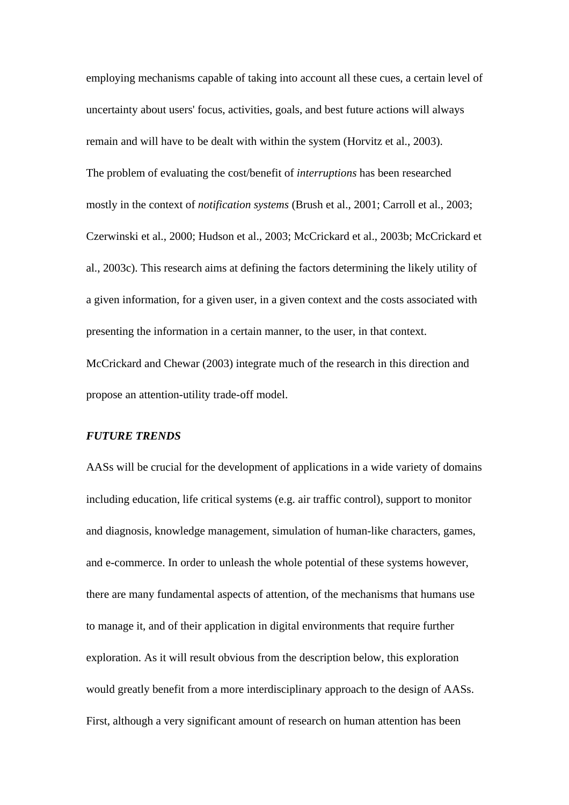employing mechanisms capable of taking into account all these cues, a certain level of uncertainty about users' focus, activities, goals, and best future actions will always remain and will have to be dealt with within the system (Horvitz et al., 2003). The problem of evaluating the cost/benefit of *interruptions* has been researched mostly in the context of *notification systems* (Brush et al., 2001; Carroll et al., 2003; Czerwinski et al., 2000; Hudson et al., 2003; McCrickard et al., 2003b; McCrickard et al., 2003c). This research aims at defining the factors determining the likely utility of a given information, for a given user, in a given context and the costs associated with presenting the information in a certain manner, to the user, in that context. McCrickard and Chewar (2003) integrate much of the research in this direction and propose an attention-utility trade-off model.

#### *FUTURE TRENDS*

AASs will be crucial for the development of applications in a wide variety of domains including education, life critical systems (e.g. air traffic control), support to monitor and diagnosis, knowledge management, simulation of human-like characters, games, and e-commerce. In order to unleash the whole potential of these systems however, there are many fundamental aspects of attention, of the mechanisms that humans use to manage it, and of their application in digital environments that require further exploration. As it will result obvious from the description below, this exploration would greatly benefit from a more interdisciplinary approach to the design of AASs. First, although a very significant amount of research on human attention has been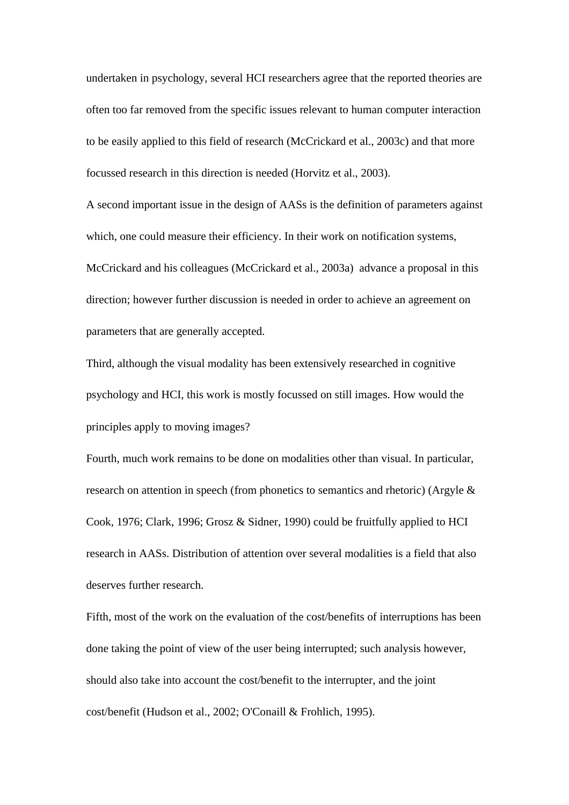undertaken in psychology, several HCI researchers agree that the reported theories are often too far removed from the specific issues relevant to human computer interaction to be easily applied to this field of research (McCrickard et al., 2003c) and that more focussed research in this direction is needed (Horvitz et al., 2003).

A second important issue in the design of AASs is the definition of parameters against which, one could measure their efficiency. In their work on notification systems, McCrickard and his colleagues (McCrickard et al., 2003a) advance a proposal in this direction; however further discussion is needed in order to achieve an agreement on parameters that are generally accepted.

Third, although the visual modality has been extensively researched in cognitive psychology and HCI, this work is mostly focussed on still images. How would the principles apply to moving images?

Fourth, much work remains to be done on modalities other than visual. In particular, research on attention in speech (from phonetics to semantics and rhetoric) (Argyle & Cook, 1976; Clark, 1996; Grosz & Sidner, 1990) could be fruitfully applied to HCI research in AASs. Distribution of attention over several modalities is a field that also deserves further research.

Fifth, most of the work on the evaluation of the cost/benefits of interruptions has been done taking the point of view of the user being interrupted; such analysis however, should also take into account the cost/benefit to the interrupter, and the joint cost/benefit (Hudson et al., 2002; O'Conaill & Frohlich, 1995).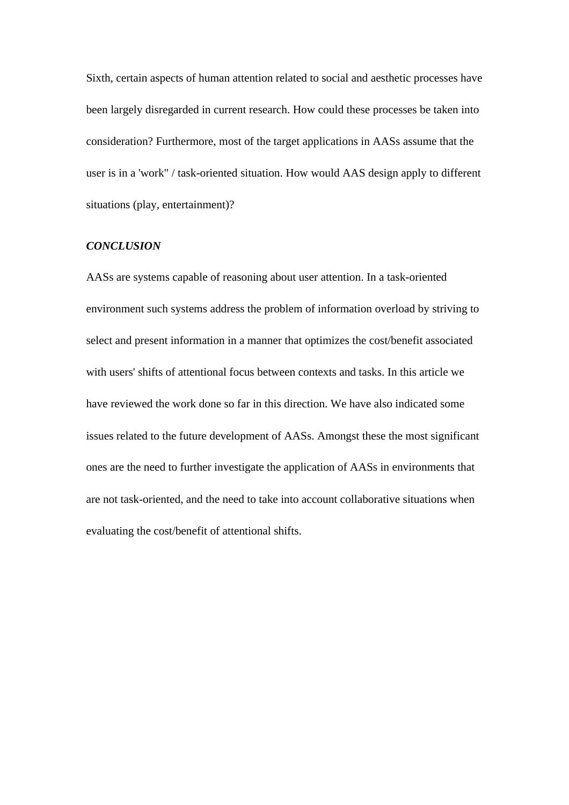Sixth, certain aspects of human attention related to social and aesthetic processes have been largely disregarded in current research. How could these processes be taken into consideration? Furthermore, most of the target applications in AASs assume that the user is in a 'work" / task-oriented situation. How would AAS design apply to different situations (play, entertainment)?

#### *CONCLUSION*

AASs are systems capable of reasoning about user attention. In a task-oriented environment such systems address the problem of information overload by striving to select and present information in a manner that optimizes the cost/benefit associated with users' shifts of attentional focus between contexts and tasks. In this article we have reviewed the work done so far in this direction. We have also indicated some issues related to the future development of AASs. Amongst these the most significant ones are the need to further investigate the application of AASs in environments that are not task-oriented, and the need to take into account collaborative situations when evaluating the cost/benefit of attentional shifts.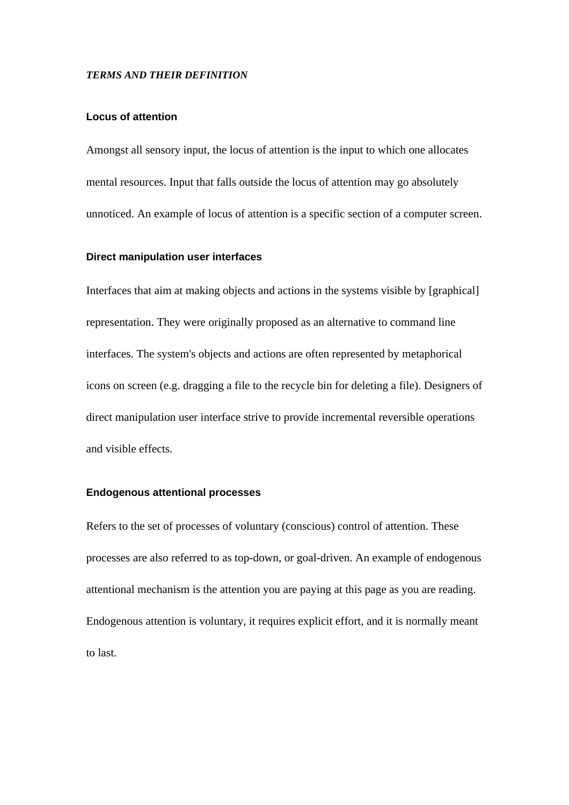#### *TERMS AND THEIR DEFINITION*

#### **Locus of attention**

Amongst all sensory input, the locus of attention is the input to which one allocates mental resources. Input that falls outside the locus of attention may go absolutely unnoticed. An example of locus of attention is a specific section of a computer screen.

#### **Direct manipulation user interfaces**

Interfaces that aim at making objects and actions in the systems visible by [graphical] representation. They were originally proposed as an alternative to command line interfaces. The system's objects and actions are often represented by metaphorical icons on screen (e.g. dragging a file to the recycle bin for deleting a file). Designers of direct manipulation user interface strive to provide incremental reversible operations and visible effects.

#### **Endogenous attentional processes**

Refers to the set of processes of voluntary (conscious) control of attention. These processes are also referred to as top-down, or goal-driven. An example of endogenous attentional mechanism is the attention you are paying at this page as you are reading. Endogenous attention is voluntary, it requires explicit effort, and it is normally meant to last.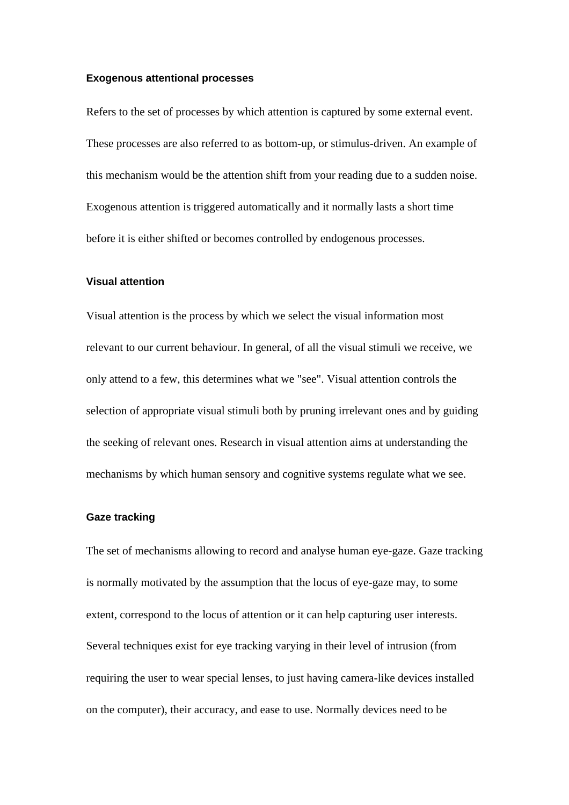#### **Exogenous attentional processes**

Refers to the set of processes by which attention is captured by some external event. These processes are also referred to as bottom-up, or stimulus-driven. An example of this mechanism would be the attention shift from your reading due to a sudden noise. Exogenous attention is triggered automatically and it normally lasts a short time before it is either shifted or becomes controlled by endogenous processes.

#### **Visual attention**

Visual attention is the process by which we select the visual information most relevant to our current behaviour. In general, of all the visual stimuli we receive, we only attend to a few, this determines what we "see". Visual attention controls the selection of appropriate visual stimuli both by pruning irrelevant ones and by guiding the seeking of relevant ones. Research in visual attention aims at understanding the mechanisms by which human sensory and cognitive systems regulate what we see.

#### **Gaze tracking**

The set of mechanisms allowing to record and analyse human eye-gaze. Gaze tracking is normally motivated by the assumption that the locus of eye-gaze may, to some extent, correspond to the locus of attention or it can help capturing user interests. Several techniques exist for eye tracking varying in their level of intrusion (from requiring the user to wear special lenses, to just having camera-like devices installed on the computer), their accuracy, and ease to use. Normally devices need to be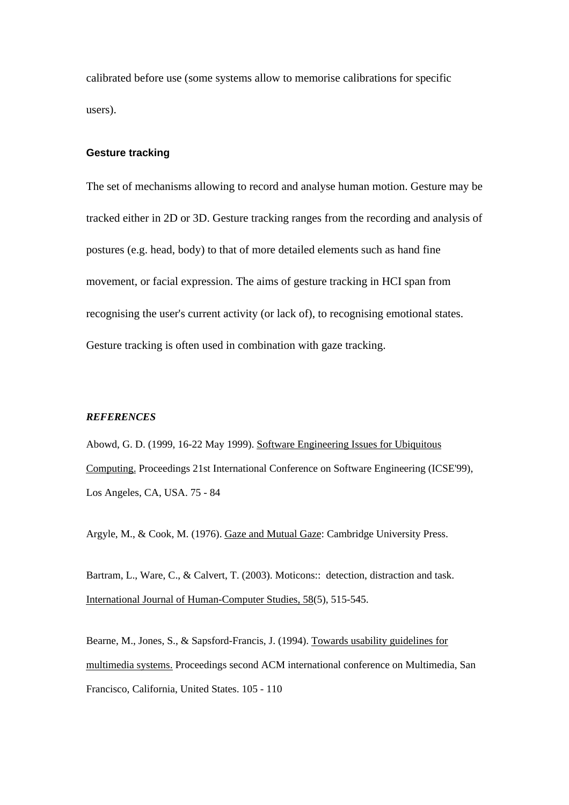calibrated before use (some systems allow to memorise calibrations for specific users).

#### **Gesture tracking**

The set of mechanisms allowing to record and analyse human motion. Gesture may be tracked either in 2D or 3D. Gesture tracking ranges from the recording and analysis of postures (e.g. head, body) to that of more detailed elements such as hand fine movement, or facial expression. The aims of gesture tracking in HCI span from recognising the user's current activity (or lack of), to recognising emotional states. Gesture tracking is often used in combination with gaze tracking.

#### *REFERENCES*

Abowd, G. D. (1999, 16-22 May 1999). Software Engineering Issues for Ubiquitous Computing. Proceedings 21st International Conference on Software Engineering (ICSE'99), Los Angeles, CA, USA. 75 - 84

Argyle, M., & Cook, M. (1976). Gaze and Mutual Gaze: Cambridge University Press.

Bartram, L., Ware, C., & Calvert, T. (2003). Moticons:: detection, distraction and task. International Journal of Human-Computer Studies, 58(5), 515-545.

Bearne, M., Jones, S., & Sapsford-Francis, J. (1994). Towards usability guidelines for multimedia systems. Proceedings second ACM international conference on Multimedia, San Francisco, California, United States. 105 - 110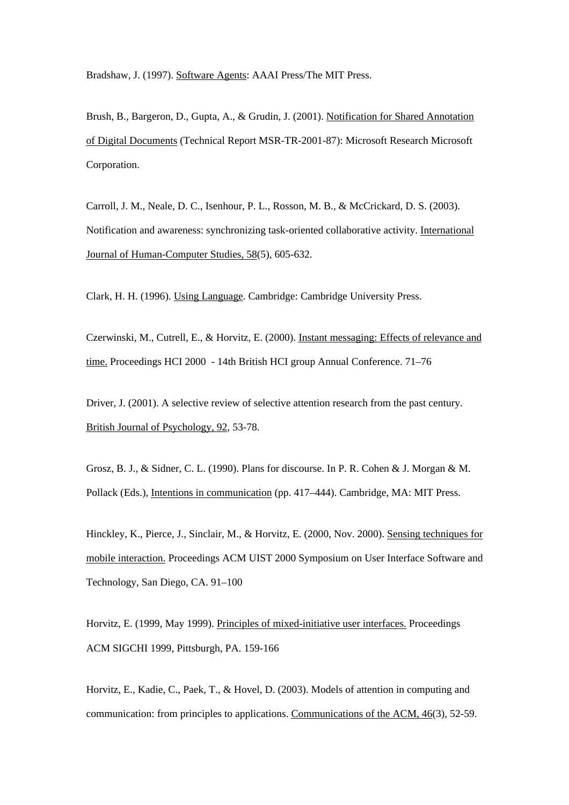Bradshaw, J. (1997). Software Agents: AAAI Press/The MIT Press.

Brush, B., Bargeron, D., Gupta, A., & Grudin, J. (2001). Notification for Shared Annotation of Digital Documents (Technical Report MSR-TR-2001-87): Microsoft Research Microsoft Corporation.

Carroll, J. M., Neale, D. C., Isenhour, P. L., Rosson, M. B., & McCrickard, D. S. (2003). Notification and awareness: synchronizing task-oriented collaborative activity. International Journal of Human-Computer Studies, 58(5), 605-632.

Clark, H. H. (1996). Using Language. Cambridge: Cambridge University Press.

Czerwinski, M., Cutrell, E., & Horvitz, E. (2000). Instant messaging: Effects of relevance and time. Proceedings HCI 2000 - 14th British HCI group Annual Conference. 71–76

Driver, J. (2001). A selective review of selective attention research from the past century. British Journal of Psychology, 92, 53-78.

Grosz, B. J., & Sidner, C. L. (1990). Plans for discourse. In P. R. Cohen & J. Morgan & M. Pollack (Eds.), Intentions in communication (pp. 417–444). Cambridge, MA: MIT Press.

Hinckley, K., Pierce, J., Sinclair, M., & Horvitz, E. (2000, Nov. 2000). Sensing techniques for mobile interaction. Proceedings ACM UIST 2000 Symposium on User Interface Software and Technology, San Diego, CA. 91–100

Horvitz, E. (1999, May 1999). Principles of mixed-initiative user interfaces. Proceedings ACM SIGCHI 1999, Pittsburgh, PA. 159-166

Horvitz, E., Kadie, C., Paek, T., & Hovel, D. (2003). Models of attention in computing and communication: from principles to applications. Communications of the ACM, 46(3), 52-59.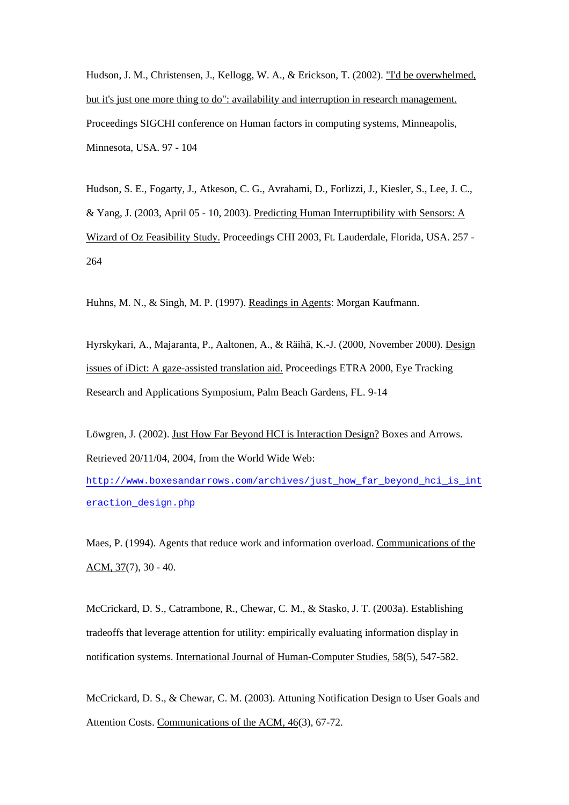Hudson, J. M., Christensen, J., Kellogg, W. A., & Erickson, T. (2002). "I'd be overwhelmed, but it's just one more thing to do": availability and interruption in research management. Proceedings SIGCHI conference on Human factors in computing systems, Minneapolis, Minnesota, USA. 97 - 104

Hudson, S. E., Fogarty, J., Atkeson, C. G., Avrahami, D., Forlizzi, J., Kiesler, S., Lee, J. C., & Yang, J. (2003, April 05 - 10, 2003). Predicting Human Interruptibility with Sensors: A Wizard of Oz Feasibility Study. Proceedings CHI 2003, Ft. Lauderdale, Florida, USA. 257 - 264

Huhns, M. N., & Singh, M. P. (1997). Readings in Agents: Morgan Kaufmann.

Hyrskykari, A., Majaranta, P., Aaltonen, A., & Räihä, K.-J. (2000, November 2000). Design issues of iDict: A gaze-assisted translation aid. Proceedings ETRA 2000, Eye Tracking Research and Applications Symposium, Palm Beach Gardens, FL. 9-14

Löwgren, J. (2002). Just How Far Beyond HCI is Interaction Design? Boxes and Arrows. Retrieved 20/11/04, 2004, from the World Wide Web:

http://www.boxesandarrows.com/archives/just\_how\_far\_beyond\_hci\_is\_int eraction\_design.php

Maes, P. (1994). Agents that reduce work and information overload. Communications of the ACM, 37(7), 30 - 40.

McCrickard, D. S., Catrambone, R., Chewar, C. M., & Stasko, J. T. (2003a). Establishing tradeoffs that leverage attention for utility: empirically evaluating information display in notification systems. International Journal of Human-Computer Studies, 58(5), 547-582.

McCrickard, D. S., & Chewar, C. M. (2003). Attuning Notification Design to User Goals and Attention Costs. Communications of the ACM, 46(3), 67-72.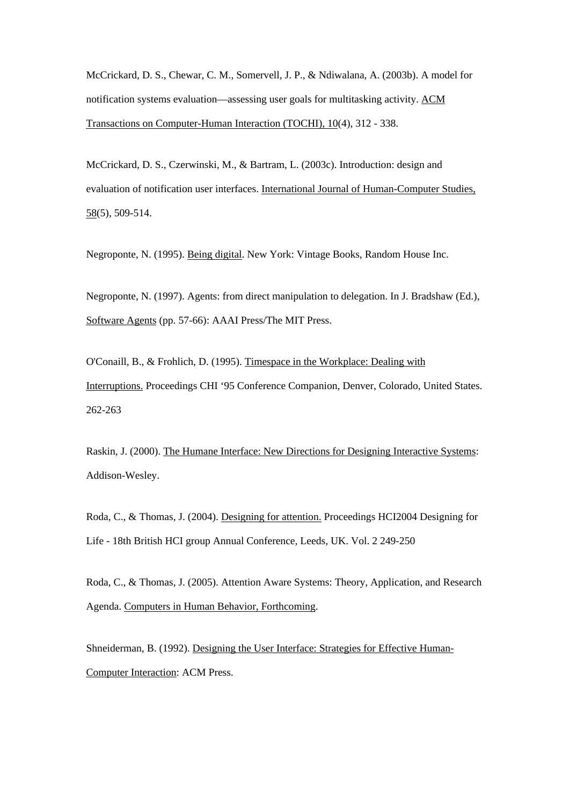McCrickard, D. S., Chewar, C. M., Somervell, J. P., & Ndiwalana, A. (2003b). A model for notification systems evaluation—assessing user goals for multitasking activity. ACM Transactions on Computer-Human Interaction (TOCHI), 10(4), 312 - 338.

McCrickard, D. S., Czerwinski, M., & Bartram, L. (2003c). Introduction: design and evaluation of notification user interfaces. International Journal of Human-Computer Studies, 58(5), 509-514.

Negroponte, N. (1995). Being digital. New York: Vintage Books, Random House Inc.

Negroponte, N. (1997). Agents: from direct manipulation to delegation. In J. Bradshaw (Ed.), Software Agents (pp. 57-66): AAAI Press/The MIT Press.

O'Conaill, B., & Frohlich, D. (1995). Timespace in the Workplace: Dealing with Interruptions. Proceedings CHI '95 Conference Companion, Denver, Colorado, United States. 262-263

Raskin, J. (2000). The Humane Interface: New Directions for Designing Interactive Systems: Addison-Wesley.

Roda, C., & Thomas, J. (2004). Designing for attention. Proceedings HCI2004 Designing for Life - 18th British HCI group Annual Conference, Leeds, UK. Vol. 2 249-250

Roda, C., & Thomas, J. (2005). Attention Aware Systems: Theory, Application, and Research Agenda. Computers in Human Behavior, Forthcoming.

Shneiderman, B. (1992). Designing the User Interface: Strategies for Effective Human-Computer Interaction: ACM Press.